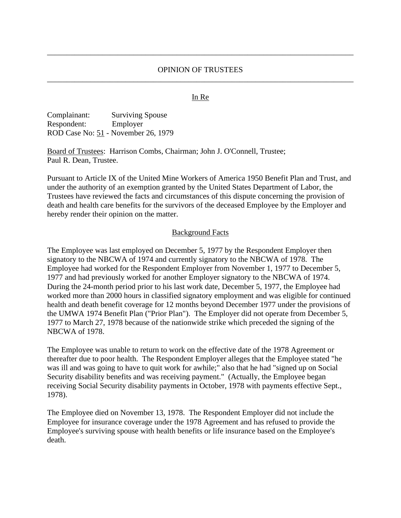## OPINION OF TRUSTEES \_\_\_\_\_\_\_\_\_\_\_\_\_\_\_\_\_\_\_\_\_\_\_\_\_\_\_\_\_\_\_\_\_\_\_\_\_\_\_\_\_\_\_\_\_\_\_\_\_\_\_\_\_\_\_\_\_\_\_\_\_\_\_\_\_\_\_\_\_\_\_\_\_\_\_\_\_\_

\_\_\_\_\_\_\_\_\_\_\_\_\_\_\_\_\_\_\_\_\_\_\_\_\_\_\_\_\_\_\_\_\_\_\_\_\_\_\_\_\_\_\_\_\_\_\_\_\_\_\_\_\_\_\_\_\_\_\_\_\_\_\_\_\_\_\_\_\_\_\_\_\_\_\_\_\_\_

#### In Re

| Complainant: | <b>Surviving Spouse</b>             |
|--------------|-------------------------------------|
| Respondent:  | Employer                            |
|              | ROD Case No: 51 - November 26, 1979 |

Board of Trustees: Harrison Combs, Chairman; John J. O'Connell, Trustee; Paul R. Dean, Trustee.

Pursuant to Article IX of the United Mine Workers of America 1950 Benefit Plan and Trust, and under the authority of an exemption granted by the United States Department of Labor, the Trustees have reviewed the facts and circumstances of this dispute concerning the provision of death and health care benefits for the survivors of the deceased Employee by the Employer and hereby render their opinion on the matter.

#### Background Facts

The Employee was last employed on December 5, 1977 by the Respondent Employer then signatory to the NBCWA of 1974 and currently signatory to the NBCWA of 1978. The Employee had worked for the Respondent Employer from November 1, 1977 to December 5, 1977 and had previously worked for another Employer signatory to the NBCWA of 1974. During the 24-month period prior to his last work date, December 5, 1977, the Employee had worked more than 2000 hours in classified signatory employment and was eligible for continued health and death benefit coverage for 12 months beyond December 1977 under the provisions of the UMWA 1974 Benefit Plan ("Prior Plan"). The Employer did not operate from December 5, 1977 to March 27, 1978 because of the nationwide strike which preceded the signing of the NBCWA of 1978.

The Employee was unable to return to work on the effective date of the 1978 Agreement or thereafter due to poor health. The Respondent Employer alleges that the Employee stated "he was ill and was going to have to quit work for awhile;" also that he had "signed up on Social Security disability benefits and was receiving payment." (Actually, the Employee began receiving Social Security disability payments in October, 1978 with payments effective Sept., 1978).

The Employee died on November 13, 1978. The Respondent Employer did not include the Employee for insurance coverage under the 1978 Agreement and has refused to provide the Employee's surviving spouse with health benefits or life insurance based on the Employee's death.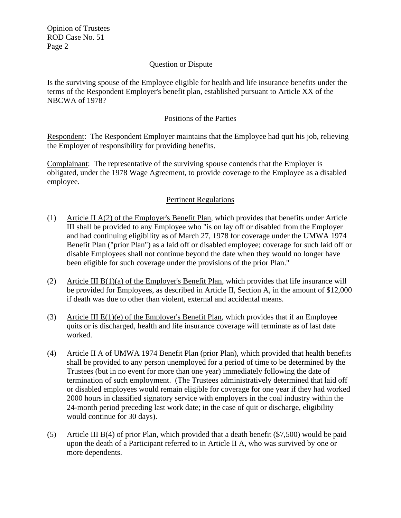Opinion of Trustees ROD Case No. 51 Page 2

## Question or Dispute

Is the surviving spouse of the Employee eligible for health and life insurance benefits under the terms of the Respondent Employer's benefit plan, established pursuant to Article XX of the NBCWA of 1978?

## Positions of the Parties

Respondent: The Respondent Employer maintains that the Employee had quit his job, relieving the Employer of responsibility for providing benefits.

Complainant: The representative of the surviving spouse contends that the Employer is obligated, under the 1978 Wage Agreement, to provide coverage to the Employee as a disabled employee.

# Pertinent Regulations

- (1) Article II A(2) of the Employer's Benefit Plan, which provides that benefits under Article III shall be provided to any Employee who "is on lay off or disabled from the Employer and had continuing eligibility as of March 27, 1978 for coverage under the UMWA 1974 Benefit Plan ("prior Plan") as a laid off or disabled employee; coverage for such laid off or disable Employees shall not continue beyond the date when they would no longer have been eligible for such coverage under the provisions of the prior Plan."
- (2) Article III B(1)(a) of the Employer's Benefit Plan, which provides that life insurance will be provided for Employees, as described in Article II, Section A, in the amount of \$12,000 if death was due to other than violent, external and accidental means.
- (3) Article III E(1)(e) of the Employer's Benefit Plan, which provides that if an Employee quits or is discharged, health and life insurance coverage will terminate as of last date worked.
- (4) Article II A of UMWA 1974 Benefit Plan (prior Plan), which provided that health benefits shall be provided to any person unemployed for a period of time to be determined by the Trustees (but in no event for more than one year) immediately following the date of termination of such employment. (The Trustees administratively determined that laid off or disabled employees would remain eligible for coverage for one year if they had worked 2000 hours in classified signatory service with employers in the coal industry within the 24-month period preceding last work date; in the case of quit or discharge, eligibility would continue for 30 days).
- (5) Article III B(4) of prior Plan, which provided that a death benefit  $(\$7,500)$  would be paid upon the death of a Participant referred to in Article II A, who was survived by one or more dependents.